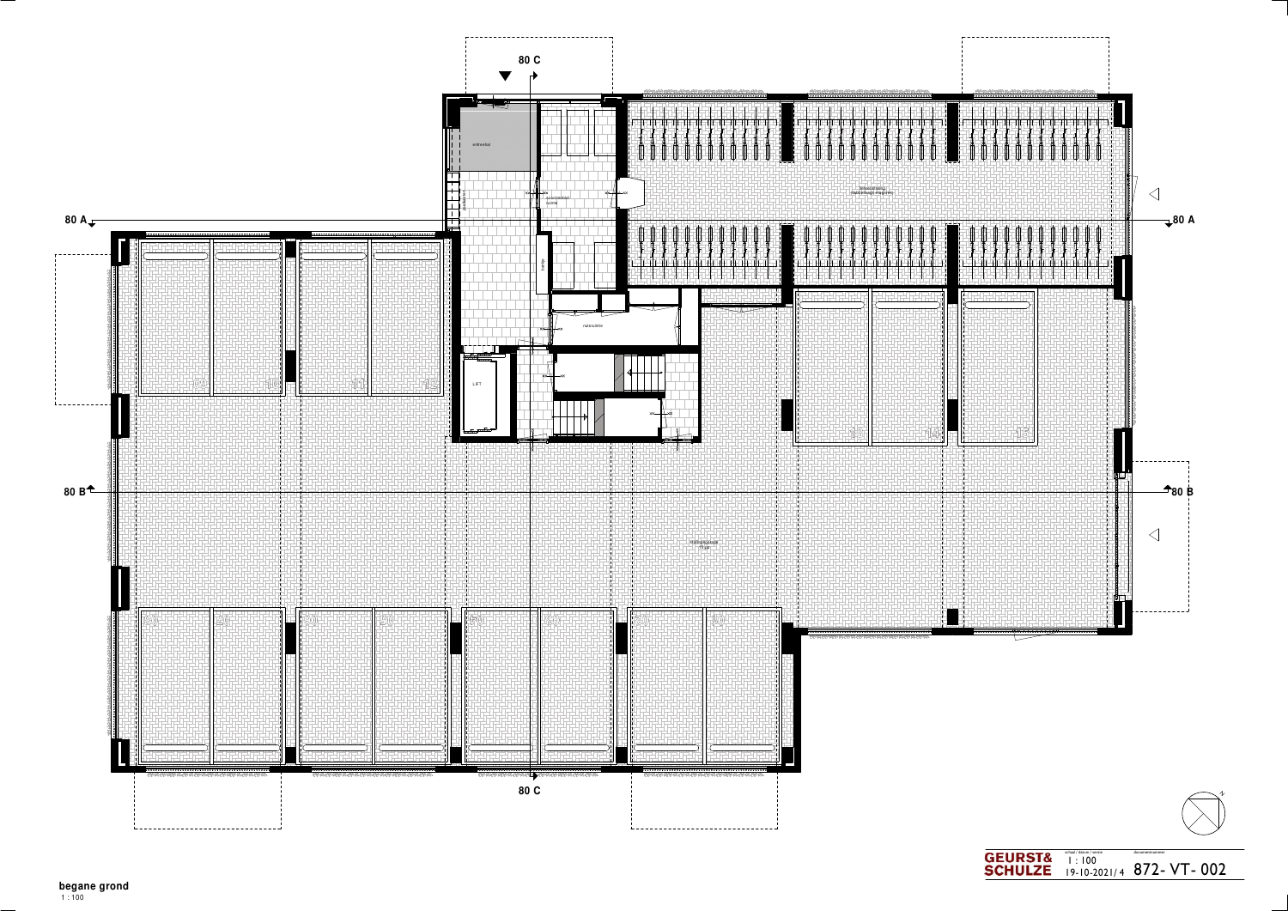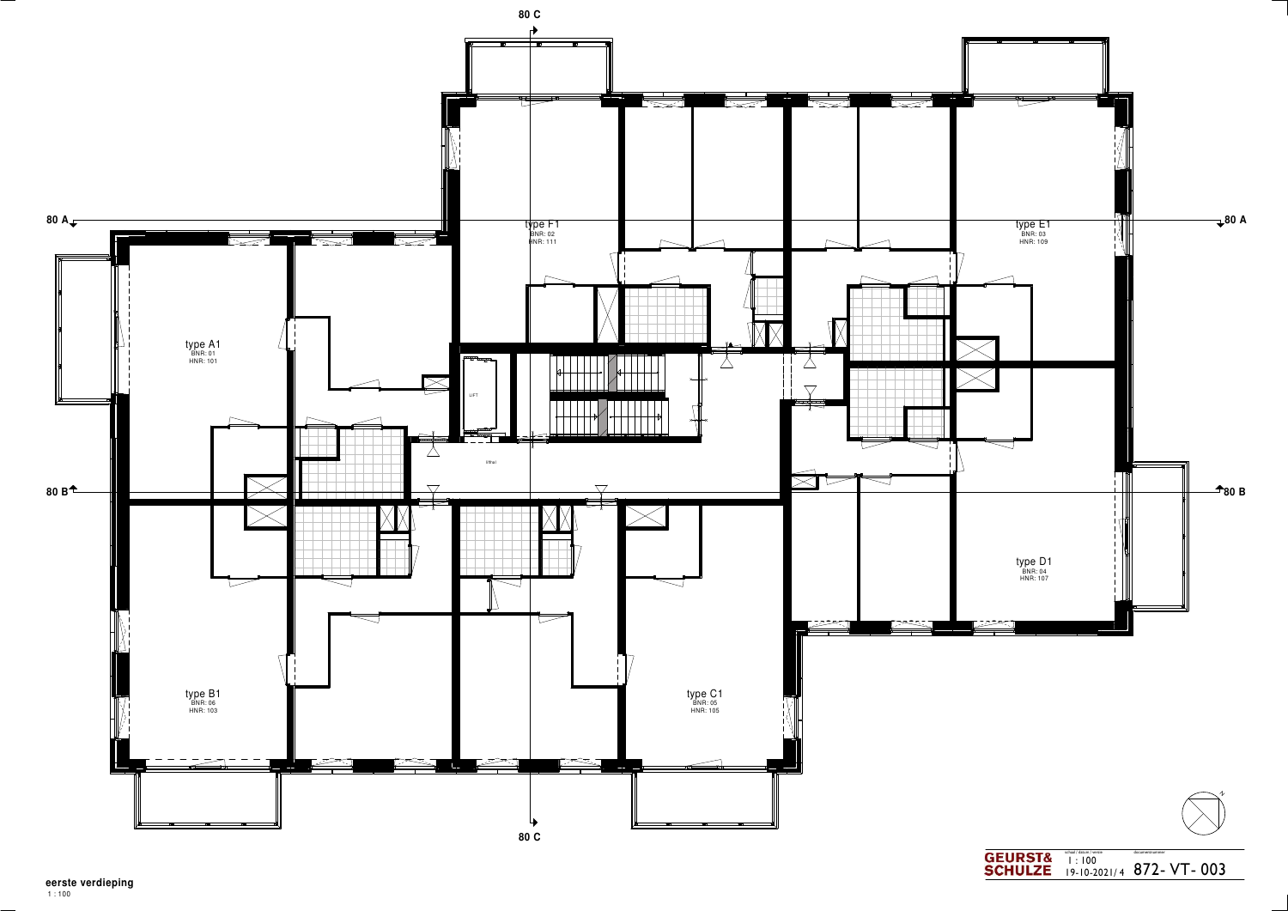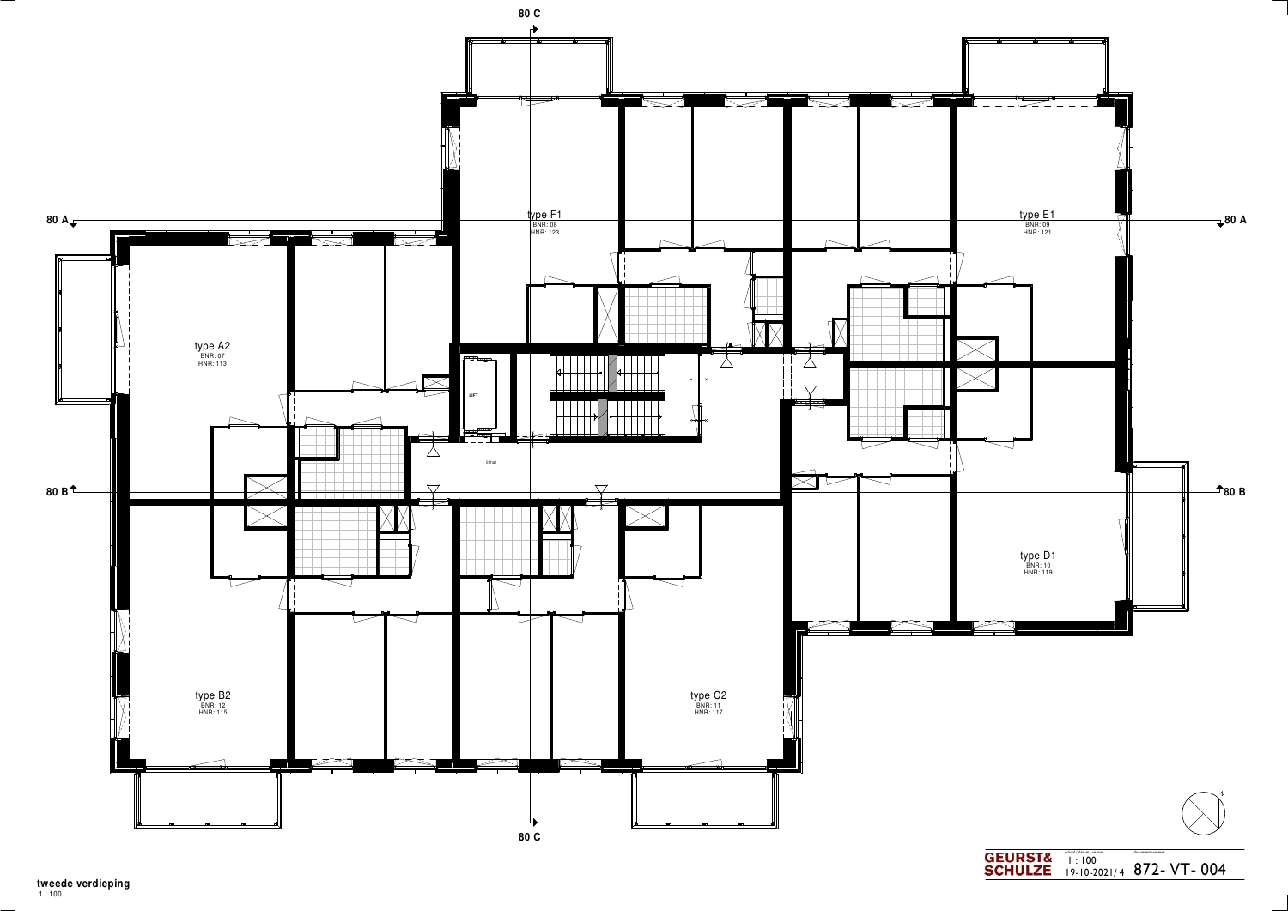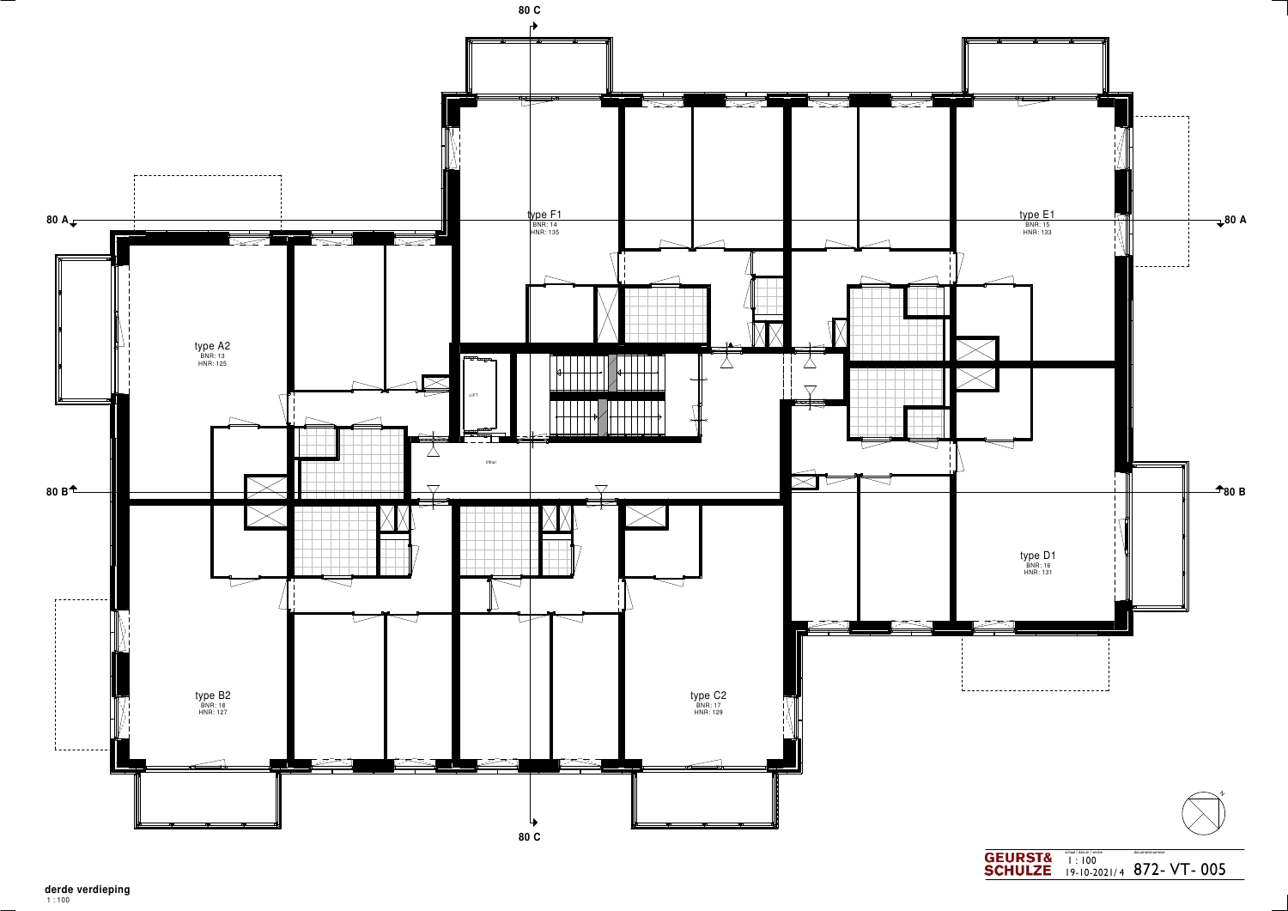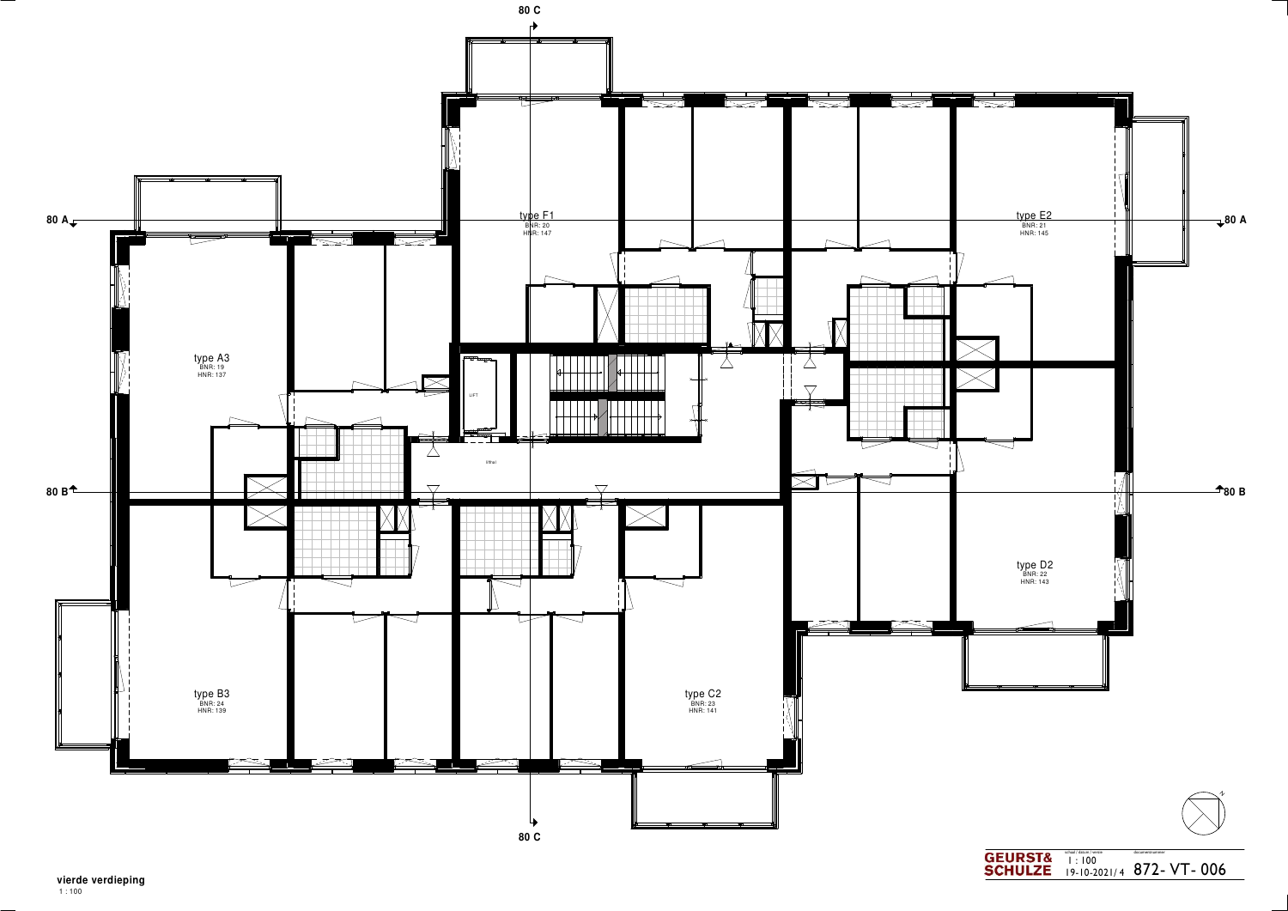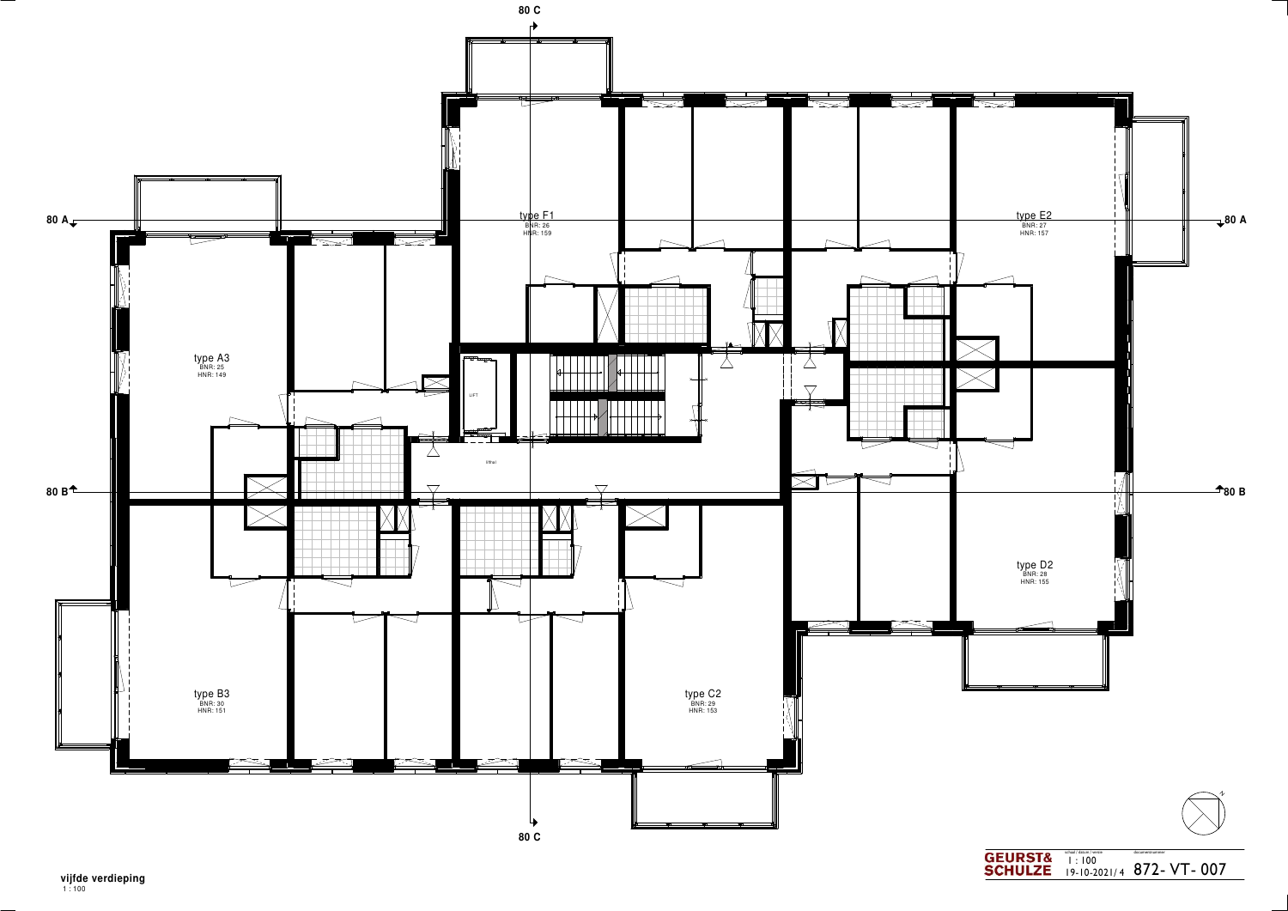